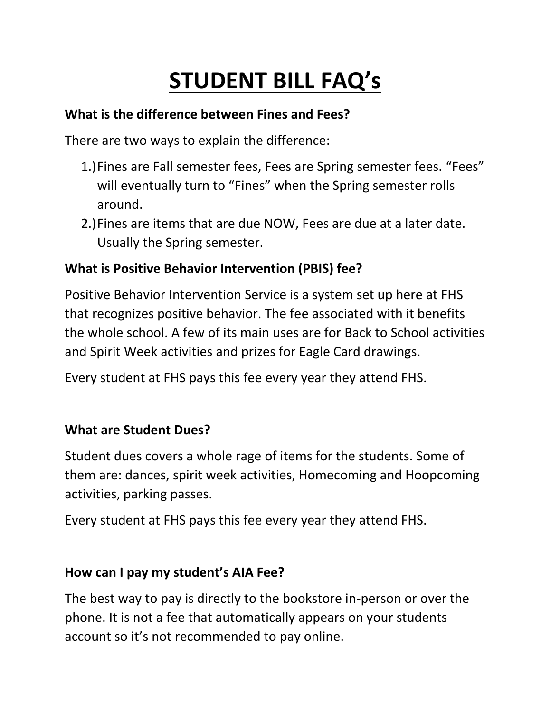# **STUDENT BILL FAQ's**

### **What is the difference between Fines and Fees?**

There are two ways to explain the difference:

- 1.)Fines are Fall semester fees, Fees are Spring semester fees. "Fees" will eventually turn to "Fines" when the Spring semester rolls around.
- 2.)Fines are items that are due NOW, Fees are due at a later date. Usually the Spring semester.

# **What is Positive Behavior Intervention (PBIS) fee?**

Positive Behavior Intervention Service is a system set up here at FHS that recognizes positive behavior. The fee associated with it benefits the whole school. A few of its main uses are for Back to School activities and Spirit Week activities and prizes for Eagle Card drawings.

Every student at FHS pays this fee every year they attend FHS.

# **What are Student Dues?**

Student dues covers a whole rage of items for the students. Some of them are: dances, spirit week activities, Homecoming and Hoopcoming activities, parking passes.

Every student at FHS pays this fee every year they attend FHS.

#### **How can I pay my student's AIA Fee?**

The best way to pay is directly to the bookstore in-person or over the phone. It is not a fee that automatically appears on your students account so it's not recommended to pay online.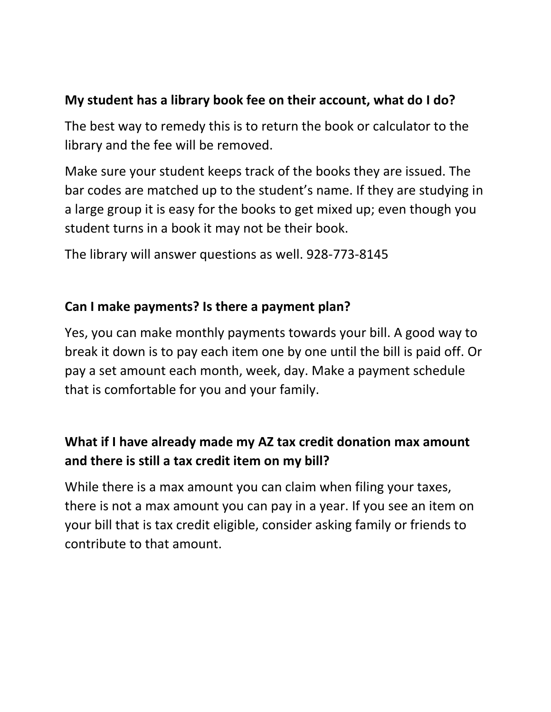## **My student has a library book fee on their account, what do I do?**

The best way to remedy this is to return the book or calculator to the library and the fee will be removed.

Make sure your student keeps track of the books they are issued. The bar codes are matched up to the student's name. If they are studying in a large group it is easy for the books to get mixed up; even though you student turns in a book it may not be their book.

The library will answer questions as well. 928-773-8145

#### **Can I make payments? Is there a payment plan?**

Yes, you can make monthly payments towards your bill. A good way to break it down is to pay each item one by one until the bill is paid off. Or pay a set amount each month, week, day. Make a payment schedule that is comfortable for you and your family.

# **What if I have already made my AZ tax credit donation max amount and there is still a tax credit item on my bill?**

While there is a max amount you can claim when filing your taxes, there is not a max amount you can pay in a year. If you see an item on your bill that is tax credit eligible, consider asking family or friends to contribute to that amount.